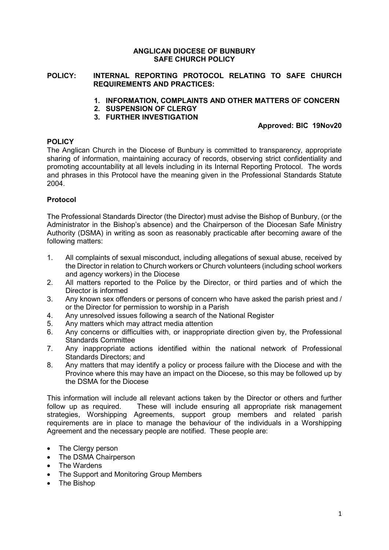### **ANGLICAN DIOCESE OF BUNBURY SAFE CHURCH POLICY**

#### **POLICY: INTERNAL REPORTING PROTOCOL RELATING TO SAFE CHURCH REQUIREMENTS AND PRACTICES:**

- **1. INFORMATION, COMPLAINTS AND OTHER MATTERS OF CONCERN**
- **2. SUSPENSION OF CLERGY**
- **3. FURTHER INVESTIGATION**

# **Approved: BIC 19Nov20**

# **POLICY**

The Anglican Church in the Diocese of Bunbury is committed to transparency, appropriate sharing of information, maintaining accuracy of records, observing strict confidentiality and promoting accountability at all levels including in its Internal Reporting Protocol. The words and phrases in this Protocol have the meaning given in the Professional Standards Statute 2004.

# **Protocol**

The Professional Standards Director (the Director) must advise the Bishop of Bunbury, (or the Administrator in the Bishop's absence) and the Chairperson of the Diocesan Safe Ministry Authority (DSMA) in writing as soon as reasonably practicable after becoming aware of the following matters:

- 1. All complaints of sexual misconduct, including allegations of sexual abuse, received by the Director in relation to Church workers or Church volunteers (including school workers and agency workers) in the Diocese
- 2. All matters reported to the Police by the Director, or third parties and of which the Director is informed
- 3. Any known sex offenders or persons of concern who have asked the parish priest and / or the Director for permission to worship in a Parish
- 4. Any unresolved issues following a search of the National Register
- 5. Any matters which may attract media attention
- 6. Any concerns or difficulties with, or inappropriate direction given by, the Professional Standards Committee
- 7. Any inappropriate actions identified within the national network of Professional Standards Directors; and
- 8. Any matters that may identify a policy or process failure with the Diocese and with the Province where this may have an impact on the Diocese, so this may be followed up by the DSMA for the Diocese

This information will include all relevant actions taken by the Director or others and further follow up as required. These will include ensuring all appropriate risk management strategies, Worshipping Agreements, support group members and related parish requirements are in place to manage the behaviour of the individuals in a Worshipping Agreement and the necessary people are notified. These people are:

- The Clergy person
- The DSMA Chairperson
- The Wardens
- The Support and Monitoring Group Members
- The Bishop